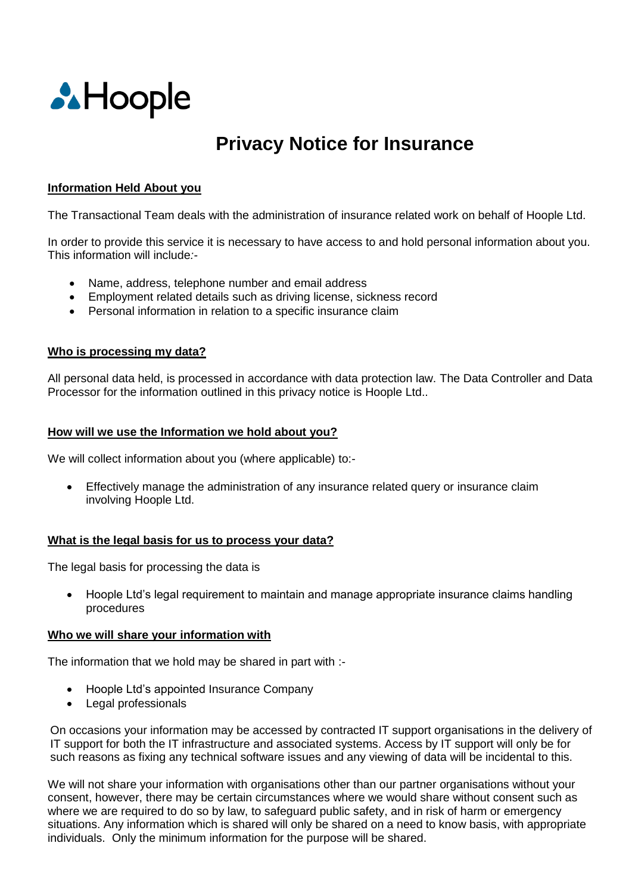

# **Privacy Notice for Insurance**

# **Information Held About you**

The Transactional Team deals with the administration of insurance related work on behalf of Hoople Ltd.

In order to provide this service it is necessary to have access to and hold personal information about you. This information will include*:-*

- Name, address, telephone number and email address
- Employment related details such as driving license, sickness record
- Personal information in relation to a specific insurance claim

# **Who is processing my data?**

All personal data held, is processed in accordance with data protection law. The Data Controller and Data Processor for the information outlined in this privacy notice is Hoople Ltd..

# **How will we use the Information we hold about you?**

We will collect information about you (where applicable) to:-

 Effectively manage the administration of any insurance related query or insurance claim involving Hoople Ltd.

#### **What is the legal basis for us to process your data?**

The legal basis for processing the data is

 Hoople Ltd's legal requirement to maintain and manage appropriate insurance claims handling procedures

#### **Who we will share your information with**

The information that we hold may be shared in part with :-

- Hoople Ltd's appointed Insurance Company
- Legal professionals

On occasions your information may be accessed by contracted IT support organisations in the delivery of IT support for both the IT infrastructure and associated systems. Access by IT support will only be for such reasons as fixing any technical software issues and any viewing of data will be incidental to this.

We will not share your information with organisations other than our partner organisations without your consent, however, there may be certain circumstances where we would share without consent such as where we are required to do so by law, to safeguard public safety, and in risk of harm or emergency situations. Any information which is shared will only be shared on a need to know basis, with appropriate individuals. Only the minimum information for the purpose will be shared.